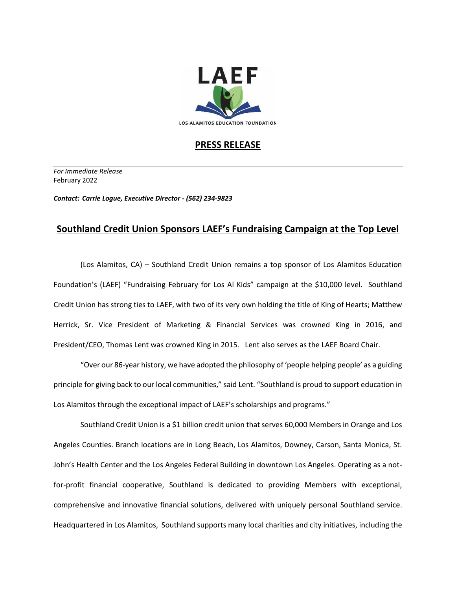

## **PRESS RELEASE**

*For Immediate Release*  February 2022

*Contact: Carrie Logue, Executive Director - (562) 234-9823*

## **Southland Credit Union Sponsors LAEF's Fundraising Campaign at the Top Level**

(Los Alamitos, CA) – Southland Credit Union remains a top sponsor of Los Alamitos Education Foundation's (LAEF) "Fundraising February for Los Al Kids" campaign at the \$10,000 level. Southland Credit Union has strong ties to LAEF, with two of its very own holding the title of King of Hearts; Matthew Herrick, Sr. Vice President of Marketing & Financial Services was crowned King in 2016, and President/CEO, Thomas Lent was crowned King in 2015. Lent also serves as the LAEF Board Chair.

"Over our 86-year history, we have adopted the philosophy of 'people helping people' as a guiding principle for giving back to our local communities," said Lent. "Southland is proud to support education in Los Alamitos through the exceptional impact of LAEF's scholarships and programs."

Southland Credit Union is a \$1 billion credit union that serves 60,000 Members in Orange and Los Angeles Counties. Branch locations are in Long Beach, Los Alamitos, Downey, Carson, Santa Monica, St. John's Health Center and the Los Angeles Federal Building in downtown Los Angeles. Operating as a notfor-profit financial cooperative, Southland is dedicated to providing Members with exceptional, comprehensive and innovative financial solutions, delivered with uniquely personal Southland service. Headquartered in Los Alamitos, Southland supports many local charities and city initiatives, including the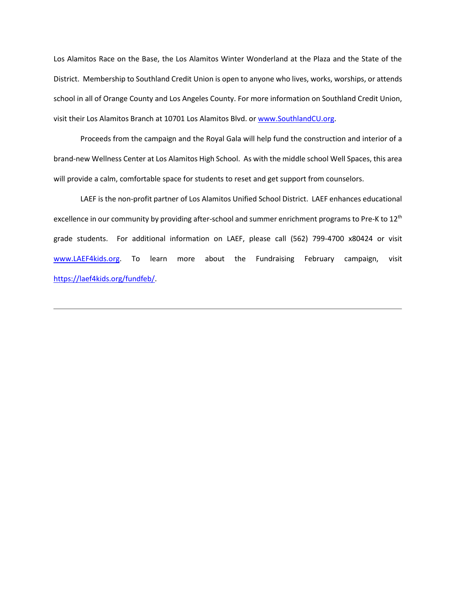Los Alamitos Race on the Base, the Los Alamitos Winter Wonderland at the Plaza and the State of the District. Membership to Southland Credit Union is open to anyone who lives, works, worships, or attends school in all of Orange County and Los Angeles County. For more information on Southland Credit Union, visit their Los Alamitos Branch at 10701 Los Alamitos Blvd. o[r www.SouthlandCU.org.](http://www.southlandcu.org/)

Proceeds from the campaign and the Royal Gala will help fund the construction and interior of a brand-new Wellness Center at Los Alamitos High School. As with the middle school Well Spaces, this area will provide a calm, comfortable space for students to reset and get support from counselors.

LAEF is the non-profit partner of Los Alamitos Unified School District. LAEF enhances educational excellence in our community by providing after-school and summer enrichment programs to Pre-K to 12<sup>th</sup> grade students. For additional information on LAEF, please call (562) 799-4700 x80424 or visit [www.LAEF4kids.org.](http://www.laef4kids.org/) To learn more about the Fundraising February campaign, visit [https://laef4kids.org/fundfeb/.](https://laef4kids.org/fundfeb/)